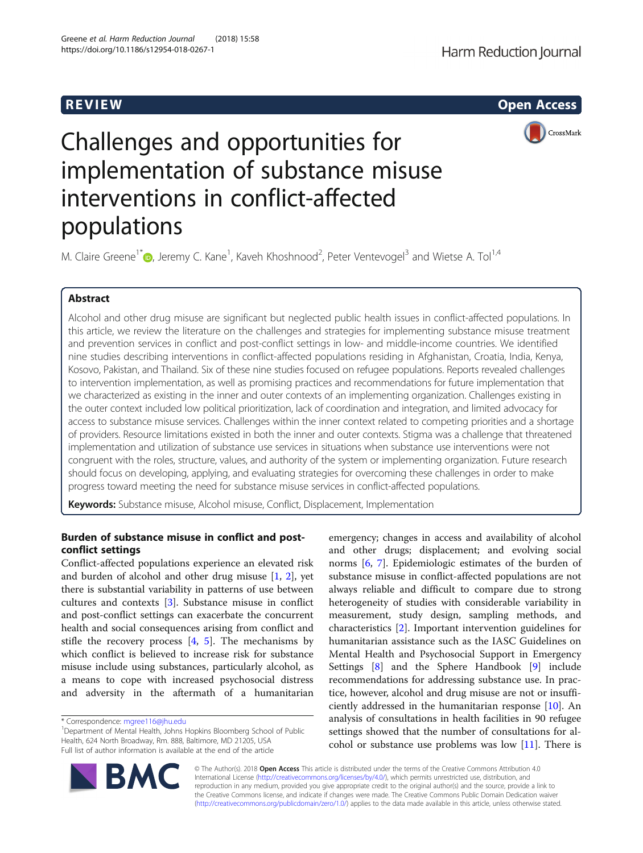R EVI EW Open Access



# Challenges and opportunities for implementation of substance misuse interventions in conflict-affected populations

M. Claire Greene<sup>1\*</sup> D, Jeremy C. Kane<sup>1</sup>, Kaveh Khoshnood<sup>2</sup>, Peter Ventevogel<sup>3</sup> and Wietse A. Tol<sup>1,4</sup>

# Abstract

Alcohol and other drug misuse are significant but neglected public health issues in conflict-affected populations. In this article, we review the literature on the challenges and strategies for implementing substance misuse treatment and prevention services in conflict and post-conflict settings in low- and middle-income countries. We identified nine studies describing interventions in conflict-affected populations residing in Afghanistan, Croatia, India, Kenya, Kosovo, Pakistan, and Thailand. Six of these nine studies focused on refugee populations. Reports revealed challenges to intervention implementation, as well as promising practices and recommendations for future implementation that we characterized as existing in the inner and outer contexts of an implementing organization. Challenges existing in the outer context included low political prioritization, lack of coordination and integration, and limited advocacy for access to substance misuse services. Challenges within the inner context related to competing priorities and a shortage of providers. Resource limitations existed in both the inner and outer contexts. Stigma was a challenge that threatened implementation and utilization of substance use services in situations when substance use interventions were not congruent with the roles, structure, values, and authority of the system or implementing organization. Future research should focus on developing, applying, and evaluating strategies for overcoming these challenges in order to make progress toward meeting the need for substance misuse services in conflict-affected populations.

Keywords: Substance misuse, Alcohol misuse, Conflict, Displacement, Implementation

# Burden of substance misuse in conflict and postconflict settings

Conflict-affected populations experience an elevated risk and burden of alcohol and other drug misuse [\[1,](#page-7-0) [2\]](#page-8-0), yet there is substantial variability in patterns of use between cultures and contexts [\[3](#page-8-0)]. Substance misuse in conflict and post-conflict settings can exacerbate the concurrent health and social consequences arising from conflict and stifle the recovery process  $[4, 5]$  $[4, 5]$  $[4, 5]$  $[4, 5]$ . The mechanisms by which conflict is believed to increase risk for substance misuse include using substances, particularly alcohol, as a means to cope with increased psychosocial distress and adversity in the aftermath of a humanitarian

emergency; changes in access and availability of alcohol and other drugs; displacement; and evolving social norms [\[6](#page-8-0), [7](#page-8-0)]. Epidemiologic estimates of the burden of substance misuse in conflict-affected populations are not always reliable and difficult to compare due to strong heterogeneity of studies with considerable variability in measurement, study design, sampling methods, and characteristics [[2\]](#page-8-0). Important intervention guidelines for humanitarian assistance such as the IASC Guidelines on Mental Health and Psychosocial Support in Emergency Settings [\[8](#page-8-0)] and the Sphere Handbook [\[9](#page-8-0)] include recommendations for addressing substance use. In practice, however, alcohol and drug misuse are not or insufficiently addressed in the humanitarian response [[10](#page-8-0)]. An analysis of consultations in health facilities in 90 refugee settings showed that the number of consultations for alcohol or substance use problems was low  $[11]$  $[11]$  $[11]$ . There is



© The Author(s). 2018 Open Access This article is distributed under the terms of the Creative Commons Attribution 4.0 International License [\(http://creativecommons.org/licenses/by/4.0/](http://creativecommons.org/licenses/by/4.0/)), which permits unrestricted use, distribution, and reproduction in any medium, provided you give appropriate credit to the original author(s) and the source, provide a link to the Creative Commons license, and indicate if changes were made. The Creative Commons Public Domain Dedication waiver [\(http://creativecommons.org/publicdomain/zero/1.0/](http://creativecommons.org/publicdomain/zero/1.0/)) applies to the data made available in this article, unless otherwise stated.

<sup>\*</sup> Correspondence: [mgree116@jhu.edu](mailto:mgree116@jhu.edu) <sup>1</sup>

<sup>&</sup>lt;sup>1</sup>Department of Mental Health, Johns Hopkins Bloomberg School of Public Health, 624 North Broadway, Rm. 888, Baltimore, MD 21205, USA Full list of author information is available at the end of the article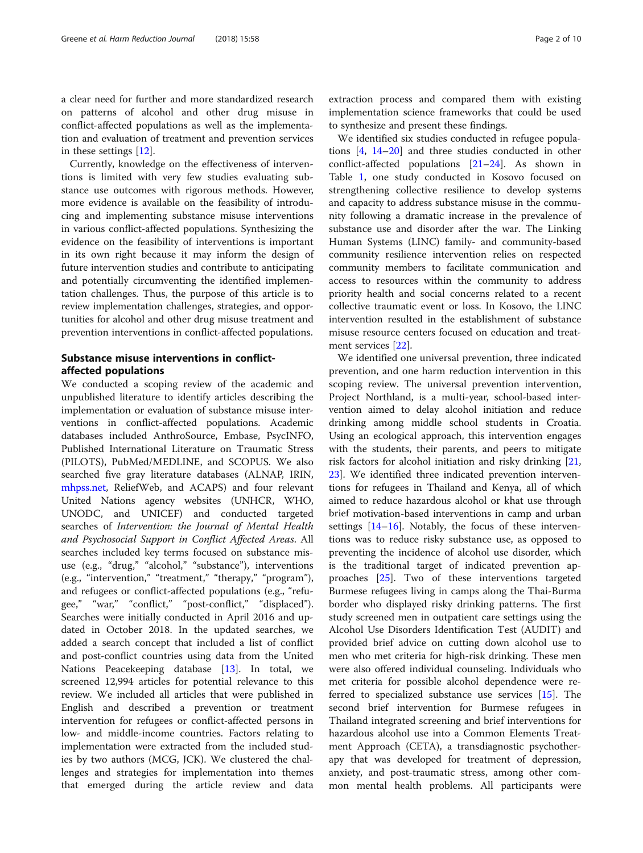Currently, knowledge on the effectiveness of interventions is limited with very few studies evaluating substance use outcomes with rigorous methods. However, more evidence is available on the feasibility of introducing and implementing substance misuse interventions in various conflict-affected populations. Synthesizing the evidence on the feasibility of interventions is important in its own right because it may inform the design of future intervention studies and contribute to anticipating and potentially circumventing the identified implementation challenges. Thus, the purpose of this article is to review implementation challenges, strategies, and opportunities for alcohol and other drug misuse treatment and prevention interventions in conflict-affected populations.

# Substance misuse interventions in conflictaffected populations

We conducted a scoping review of the academic and unpublished literature to identify articles describing the implementation or evaluation of substance misuse interventions in conflict-affected populations. Academic databases included AnthroSource, Embase, PsycINFO, Published International Literature on Traumatic Stress (PILOTS), PubMed/MEDLINE, and SCOPUS. We also searched five gray literature databases (ALNAP, IRIN, [mhpss.net](http://mhpss.net), ReliefWeb, and ACAPS) and four relevant United Nations agency websites (UNHCR, WHO, UNODC, and UNICEF) and conducted targeted searches of Intervention: the Journal of Mental Health and Psychosocial Support in Conflict Affected Areas. All searches included key terms focused on substance misuse (e.g., "drug," "alcohol," "substance"), interventions (e.g., "intervention," "treatment," "therapy," "program"), and refugees or conflict-affected populations (e.g., "refugee," "war," "conflict," "post-conflict," "displaced"). Searches were initially conducted in April 2016 and updated in October 2018. In the updated searches, we added a search concept that included a list of conflict and post-conflict countries using data from the United Nations Peacekeeping database [\[13\]](#page-8-0). In total, we screened 12,994 articles for potential relevance to this review. We included all articles that were published in English and described a prevention or treatment intervention for refugees or conflict-affected persons in low- and middle-income countries. Factors relating to implementation were extracted from the included studies by two authors (MCG, JCK). We clustered the challenges and strategies for implementation into themes that emerged during the article review and data extraction process and compared them with existing implementation science frameworks that could be used to synthesize and present these findings.

We identified six studies conducted in refugee populations [[4,](#page-8-0) [14](#page-8-0)–[20](#page-8-0)] and three studies conducted in other conflict-affected populations  $[21-24]$  $[21-24]$  $[21-24]$  $[21-24]$  $[21-24]$ . As shown in Table [1](#page-2-0), one study conducted in Kosovo focused on strengthening collective resilience to develop systems and capacity to address substance misuse in the community following a dramatic increase in the prevalence of substance use and disorder after the war. The Linking Human Systems (LINC) family- and community-based community resilience intervention relies on respected community members to facilitate communication and access to resources within the community to address priority health and social concerns related to a recent collective traumatic event or loss. In Kosovo, the LINC intervention resulted in the establishment of substance misuse resource centers focused on education and treatment services [[22\]](#page-8-0).

We identified one universal prevention, three indicated prevention, and one harm reduction intervention in this scoping review. The universal prevention intervention, Project Northland, is a multi-year, school-based intervention aimed to delay alcohol initiation and reduce drinking among middle school students in Croatia. Using an ecological approach, this intervention engages with the students, their parents, and peers to mitigate risk factors for alcohol initiation and risky drinking [[21](#page-8-0), [23\]](#page-8-0). We identified three indicated prevention interventions for refugees in Thailand and Kenya, all of which aimed to reduce hazardous alcohol or khat use through brief motivation-based interventions in camp and urban settings  $[14–16]$  $[14–16]$  $[14–16]$  $[14–16]$  $[14–16]$ . Notably, the focus of these interventions was to reduce risky substance use, as opposed to preventing the incidence of alcohol use disorder, which is the traditional target of indicated prevention approaches [[25](#page-8-0)]. Two of these interventions targeted Burmese refugees living in camps along the Thai-Burma border who displayed risky drinking patterns. The first study screened men in outpatient care settings using the Alcohol Use Disorders Identification Test (AUDIT) and provided brief advice on cutting down alcohol use to men who met criteria for high-risk drinking. These men were also offered individual counseling. Individuals who met criteria for possible alcohol dependence were referred to specialized substance use services [[15\]](#page-8-0). The second brief intervention for Burmese refugees in Thailand integrated screening and brief interventions for hazardous alcohol use into a Common Elements Treatment Approach (CETA), a transdiagnostic psychotherapy that was developed for treatment of depression, anxiety, and post-traumatic stress, among other common mental health problems. All participants were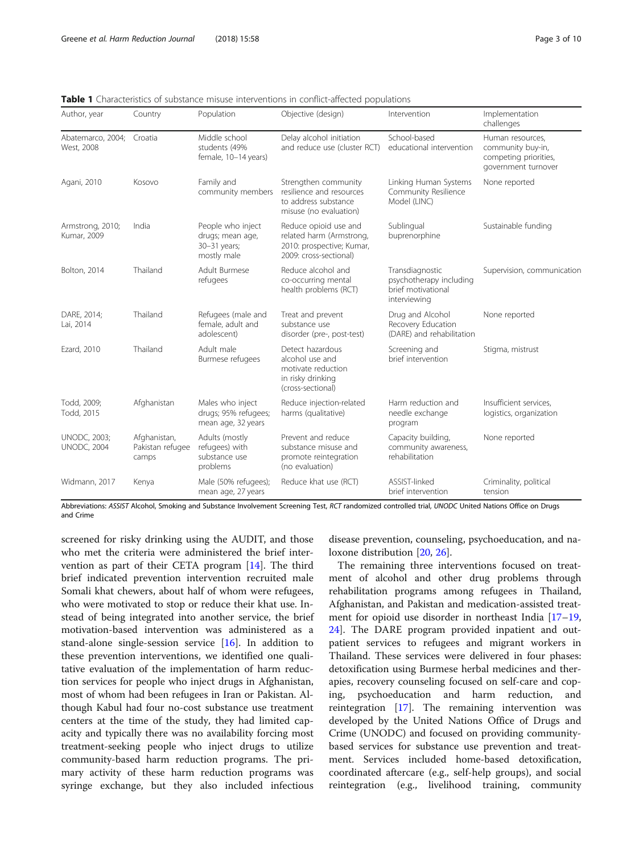<span id="page-2-0"></span>

|  |  |  |  |  | <b>Table 1</b> Characteristics of substance misuse interventions in conflict-affected populations |  |
|--|--|--|--|--|---------------------------------------------------------------------------------------------------|--|
|--|--|--|--|--|---------------------------------------------------------------------------------------------------|--|

| Author, year                              | Country                                   | Population                                                               | Objective (design)                                                                                       | Intervention                                                                     | Implementation<br>challenges                                                          |
|-------------------------------------------|-------------------------------------------|--------------------------------------------------------------------------|----------------------------------------------------------------------------------------------------------|----------------------------------------------------------------------------------|---------------------------------------------------------------------------------------|
| Abatemarco, 2004;<br>West, 2008           | Croatia                                   | Middle school<br>students (49%<br>female, 10-14 years)                   | Delay alcohol initiation<br>and reduce use (cluster RCT)                                                 | School-based<br>educational intervention                                         | Human resources,<br>community buy-in,<br>competing priorities,<br>government turnover |
| Agani, 2010                               | Kosovo                                    | Family and<br>community members                                          | Strengthen community<br>resilience and resources<br>to address substance<br>misuse (no evaluation)       | Linking Human Systems<br><b>Community Resilience</b><br>Model (LINC)             | None reported                                                                         |
| Armstrong, 2010;<br>Kumar, 2009           | India                                     | People who inject<br>drugs; mean age,<br>$30 - 31$ years;<br>mostly male | Reduce opioid use and<br>related harm (Armstrong,<br>2010: prospective; Kumar,<br>2009: cross-sectional) | Sublingual<br>buprenorphine                                                      | Sustainable funding                                                                   |
| Bolton, 2014                              | Thailand                                  | Adult Burmese<br>refugees                                                | Reduce alcohol and<br>co-occurring mental<br>health problems (RCT)                                       | Transdiagnostic<br>psychotherapy including<br>brief motivational<br>interviewing | Supervision, communication                                                            |
| DARE, 2014;<br>Lai, 2014                  | Thailand                                  | Refugees (male and<br>female, adult and<br>adolescent)                   | Treat and prevent<br>substance use<br>disorder (pre-, post-test)                                         | Drug and Alcohol<br>Recovery Education<br>(DARE) and rehabilitation              | None reported                                                                         |
| Ezard, 2010                               | Thailand                                  | Adult male<br>Burmese refugees                                           | Detect hazardous<br>alcohol use and<br>motivate reduction<br>in risky drinking<br>(cross-sectional)      | Screening and<br>brief intervention                                              | Stigma, mistrust                                                                      |
| Todd, 2009;<br>Todd, 2015                 | Afghanistan                               | Males who inject<br>drugs; 95% refugees;<br>mean age, 32 years           | Reduce injection-related<br>harms (qualitative)                                                          | Harm reduction and<br>needle exchange<br>program                                 | Insufficient services,<br>logistics, organization                                     |
| <b>UNODC, 2003;</b><br><b>UNODC, 2004</b> | Afghanistan,<br>Pakistan refugee<br>camps | Adults (mostly<br>refugees) with<br>substance use<br>problems            | Prevent and reduce<br>substance misuse and<br>promote reintegration<br>(no evaluation)                   | Capacity building,<br>community awareness,<br>rehabilitation                     | None reported                                                                         |
| Widmann, 2017                             | Kenya                                     | Male (50% refugees);<br>mean age, 27 years                               | Reduce khat use (RCT)                                                                                    | ASSIST-linked<br>brief intervention                                              | Criminality, political<br>tension                                                     |

Abbreviations: ASSIST Alcohol, Smoking and Substance Involvement Screening Test, RCT randomized controlled trial, UNODC United Nations Office on Drugs and Crime

screened for risky drinking using the AUDIT, and those who met the criteria were administered the brief intervention as part of their CETA program [\[14\]](#page-8-0). The third brief indicated prevention intervention recruited male Somali khat chewers, about half of whom were refugees, who were motivated to stop or reduce their khat use. Instead of being integrated into another service, the brief motivation-based intervention was administered as a stand-alone single-session service [[16\]](#page-8-0). In addition to these prevention interventions, we identified one qualitative evaluation of the implementation of harm reduction services for people who inject drugs in Afghanistan, most of whom had been refugees in Iran or Pakistan. Although Kabul had four no-cost substance use treatment centers at the time of the study, they had limited capacity and typically there was no availability forcing most treatment-seeking people who inject drugs to utilize community-based harm reduction programs. The primary activity of these harm reduction programs was syringe exchange, but they also included infectious

disease prevention, counseling, psychoeducation, and naloxone distribution [[20,](#page-8-0) [26\]](#page-8-0).

The remaining three interventions focused on treatment of alcohol and other drug problems through rehabilitation programs among refugees in Thailand, Afghanistan, and Pakistan and medication-assisted treatment for opioid use disorder in northeast India [[17](#page-8-0)–[19](#page-8-0), [24\]](#page-8-0). The DARE program provided inpatient and outpatient services to refugees and migrant workers in Thailand. These services were delivered in four phases: detoxification using Burmese herbal medicines and therapies, recovery counseling focused on self-care and coping, psychoeducation and harm reduction, and reintegration [[17](#page-8-0)]. The remaining intervention was developed by the United Nations Office of Drugs and Crime (UNODC) and focused on providing communitybased services for substance use prevention and treatment. Services included home-based detoxification, coordinated aftercare (e.g., self-help groups), and social reintegration (e.g., livelihood training, community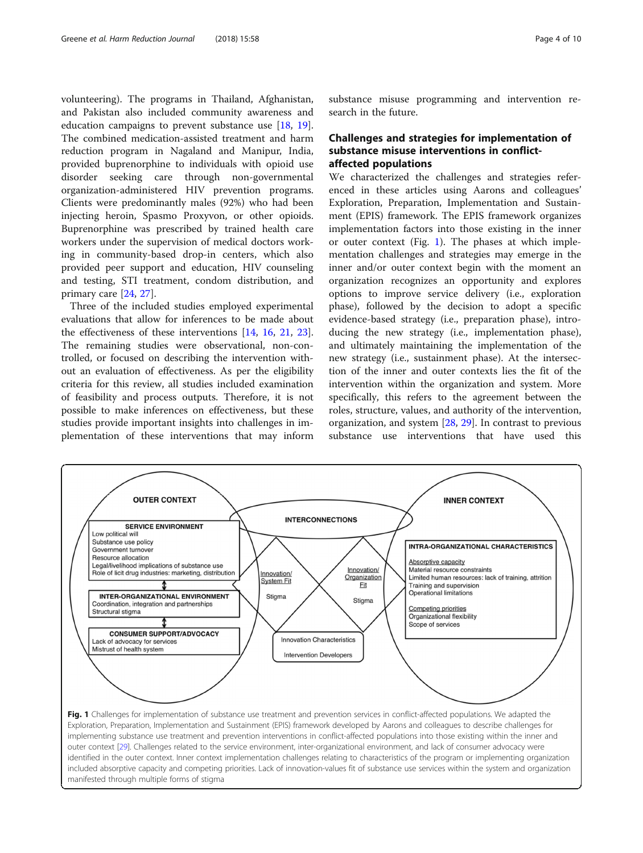volunteering). The programs in Thailand, Afghanistan, and Pakistan also included community awareness and education campaigns to prevent substance use [\[18](#page-8-0), [19](#page-8-0)]. The combined medication-assisted treatment and harm reduction program in Nagaland and Manipur, India, provided buprenorphine to individuals with opioid use disorder seeking care through non-governmental organization-administered HIV prevention programs. Clients were predominantly males (92%) who had been injecting heroin, Spasmo Proxyvon, or other opioids. Buprenorphine was prescribed by trained health care workers under the supervision of medical doctors working in community-based drop-in centers, which also provided peer support and education, HIV counseling and testing, STI treatment, condom distribution, and primary care [[24,](#page-8-0) [27](#page-8-0)].

Three of the included studies employed experimental evaluations that allow for inferences to be made about the effectiveness of these interventions [\[14](#page-8-0), [16](#page-8-0), [21](#page-8-0), [23](#page-8-0)]. The remaining studies were observational, non-controlled, or focused on describing the intervention without an evaluation of effectiveness. As per the eligibility criteria for this review, all studies included examination of feasibility and process outputs. Therefore, it is not possible to make inferences on effectiveness, but these studies provide important insights into challenges in implementation of these interventions that may inform

substance misuse programming and intervention research in the future.

# Challenges and strategies for implementation of substance misuse interventions in conflictaffected populations

We characterized the challenges and strategies referenced in these articles using Aarons and colleagues' Exploration, Preparation, Implementation and Sustainment (EPIS) framework. The EPIS framework organizes implementation factors into those existing in the inner or outer context (Fig. 1). The phases at which implementation challenges and strategies may emerge in the inner and/or outer context begin with the moment an organization recognizes an opportunity and explores options to improve service delivery (i.e., exploration phase), followed by the decision to adopt a specific evidence-based strategy (i.e., preparation phase), introducing the new strategy (i.e., implementation phase), and ultimately maintaining the implementation of the new strategy (i.e., sustainment phase). At the intersection of the inner and outer contexts lies the fit of the intervention within the organization and system. More specifically, this refers to the agreement between the roles, structure, values, and authority of the intervention, organization, and system [\[28](#page-8-0), [29\]](#page-8-0). In contrast to previous substance use interventions that have used this

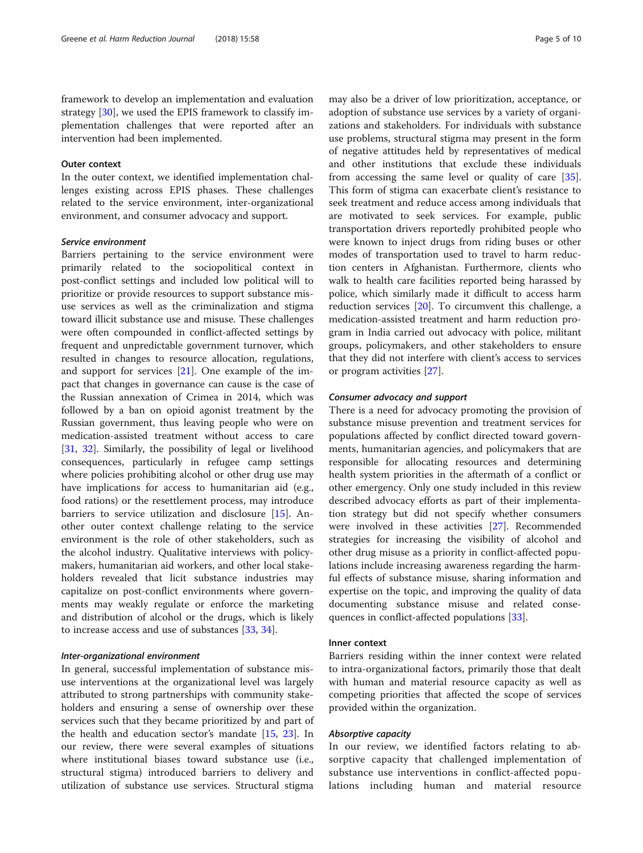framework to develop an implementation and evaluation strategy [\[30](#page-8-0)], we used the EPIS framework to classify implementation challenges that were reported after an intervention had been implemented.

#### Outer context

In the outer context, we identified implementation challenges existing across EPIS phases. These challenges related to the service environment, inter-organizational environment, and consumer advocacy and support.

#### Service environment

Barriers pertaining to the service environment were primarily related to the sociopolitical context in post-conflict settings and included low political will to prioritize or provide resources to support substance misuse services as well as the criminalization and stigma toward illicit substance use and misuse. These challenges were often compounded in conflict-affected settings by frequent and unpredictable government turnover, which resulted in changes to resource allocation, regulations, and support for services [\[21\]](#page-8-0). One example of the impact that changes in governance can cause is the case of the Russian annexation of Crimea in 2014, which was followed by a ban on opioid agonist treatment by the Russian government, thus leaving people who were on medication-assisted treatment without access to care [[31,](#page-8-0) [32](#page-8-0)]. Similarly, the possibility of legal or livelihood consequences, particularly in refugee camp settings where policies prohibiting alcohol or other drug use may have implications for access to humanitarian aid (e.g., food rations) or the resettlement process, may introduce barriers to service utilization and disclosure [\[15](#page-8-0)]. Another outer context challenge relating to the service environment is the role of other stakeholders, such as the alcohol industry. Qualitative interviews with policymakers, humanitarian aid workers, and other local stakeholders revealed that licit substance industries may capitalize on post-conflict environments where governments may weakly regulate or enforce the marketing and distribution of alcohol or the drugs, which is likely to increase access and use of substances [\[33,](#page-8-0) [34\]](#page-8-0).

#### Inter-organizational environment

In general, successful implementation of substance misuse interventions at the organizational level was largely attributed to strong partnerships with community stakeholders and ensuring a sense of ownership over these services such that they became prioritized by and part of the health and education sector's mandate [[15](#page-8-0), [23\]](#page-8-0). In our review, there were several examples of situations where institutional biases toward substance use (i.e., structural stigma) introduced barriers to delivery and utilization of substance use services. Structural stigma

may also be a driver of low prioritization, acceptance, or adoption of substance use services by a variety of organizations and stakeholders. For individuals with substance use problems, structural stigma may present in the form of negative attitudes held by representatives of medical and other institutions that exclude these individuals from accessing the same level or quality of care [\[35](#page-8-0)]. This form of stigma can exacerbate client's resistance to seek treatment and reduce access among individuals that are motivated to seek services. For example, public transportation drivers reportedly prohibited people who were known to inject drugs from riding buses or other modes of transportation used to travel to harm reduction centers in Afghanistan. Furthermore, clients who walk to health care facilities reported being harassed by police, which similarly made it difficult to access harm reduction services  $[20]$  $[20]$ . To circumvent this challenge, a medication-assisted treatment and harm reduction program in India carried out advocacy with police, militant groups, policymakers, and other stakeholders to ensure that they did not interfere with client's access to services or program activities [[27\]](#page-8-0).

#### Consumer advocacy and support

There is a need for advocacy promoting the provision of substance misuse prevention and treatment services for populations affected by conflict directed toward governments, humanitarian agencies, and policymakers that are responsible for allocating resources and determining health system priorities in the aftermath of a conflict or other emergency. Only one study included in this review described advocacy efforts as part of their implementation strategy but did not specify whether consumers were involved in these activities [\[27](#page-8-0)]. Recommended strategies for increasing the visibility of alcohol and other drug misuse as a priority in conflict-affected populations include increasing awareness regarding the harmful effects of substance misuse, sharing information and expertise on the topic, and improving the quality of data documenting substance misuse and related consequences in conflict-affected populations [\[33\]](#page-8-0).

## Inner context

Barriers residing within the inner context were related to intra-organizational factors, primarily those that dealt with human and material resource capacity as well as competing priorities that affected the scope of services provided within the organization.

#### Absorptive capacity

In our review, we identified factors relating to absorptive capacity that challenged implementation of substance use interventions in conflict-affected populations including human and material resource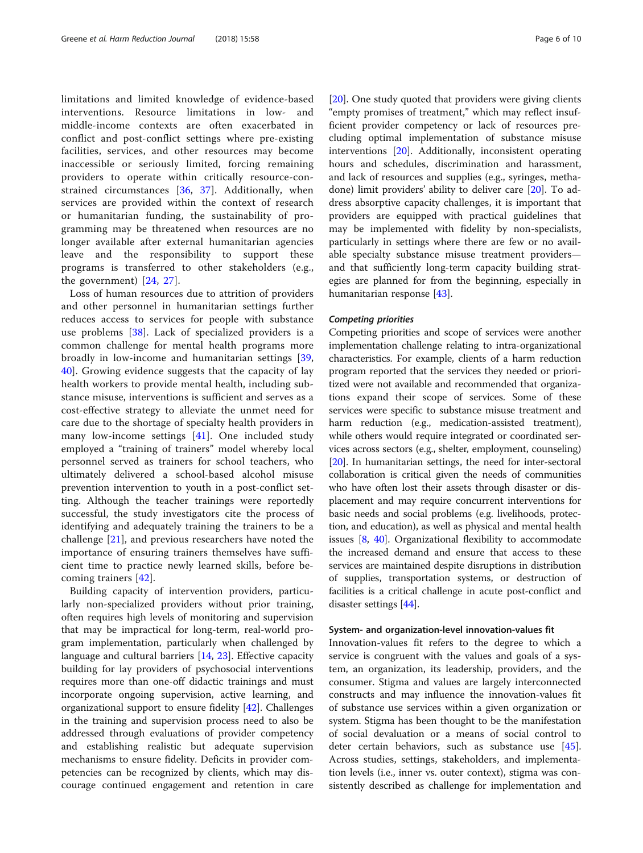limitations and limited knowledge of evidence-based interventions. Resource limitations in low- and middle-income contexts are often exacerbated in conflict and post-conflict settings where pre-existing facilities, services, and other resources may become inaccessible or seriously limited, forcing remaining providers to operate within critically resource-constrained circumstances [[36,](#page-8-0) [37](#page-8-0)]. Additionally, when services are provided within the context of research or humanitarian funding, the sustainability of programming may be threatened when resources are no longer available after external humanitarian agencies leave and the responsibility to support these programs is transferred to other stakeholders (e.g., the government) [[24](#page-8-0), [27](#page-8-0)].

Loss of human resources due to attrition of providers and other personnel in humanitarian settings further reduces access to services for people with substance use problems [\[38](#page-8-0)]. Lack of specialized providers is a common challenge for mental health programs more broadly in low-income and humanitarian settings [\[39](#page-8-0), [40\]](#page-8-0). Growing evidence suggests that the capacity of lay health workers to provide mental health, including substance misuse, interventions is sufficient and serves as a cost-effective strategy to alleviate the unmet need for care due to the shortage of specialty health providers in many low-income settings [\[41](#page-8-0)]. One included study employed a "training of trainers" model whereby local personnel served as trainers for school teachers, who ultimately delivered a school-based alcohol misuse prevention intervention to youth in a post-conflict setting. Although the teacher trainings were reportedly successful, the study investigators cite the process of identifying and adequately training the trainers to be a challenge [\[21](#page-8-0)], and previous researchers have noted the importance of ensuring trainers themselves have sufficient time to practice newly learned skills, before becoming trainers [[42\]](#page-8-0).

Building capacity of intervention providers, particularly non-specialized providers without prior training, often requires high levels of monitoring and supervision that may be impractical for long-term, real-world program implementation, particularly when challenged by language and cultural barriers [\[14,](#page-8-0) [23](#page-8-0)]. Effective capacity building for lay providers of psychosocial interventions requires more than one-off didactic trainings and must incorporate ongoing supervision, active learning, and organizational support to ensure fidelity [\[42\]](#page-8-0). Challenges in the training and supervision process need to also be addressed through evaluations of provider competency and establishing realistic but adequate supervision mechanisms to ensure fidelity. Deficits in provider competencies can be recognized by clients, which may discourage continued engagement and retention in care

[[20\]](#page-8-0). One study quoted that providers were giving clients "empty promises of treatment," which may reflect insufficient provider competency or lack of resources precluding optimal implementation of substance misuse interventions [\[20](#page-8-0)]. Additionally, inconsistent operating hours and schedules, discrimination and harassment, and lack of resources and supplies (e.g., syringes, methadone) limit providers' ability to deliver care [[20](#page-8-0)]. To address absorptive capacity challenges, it is important that providers are equipped with practical guidelines that may be implemented with fidelity by non-specialists, particularly in settings where there are few or no available specialty substance misuse treatment providers and that sufficiently long-term capacity building strategies are planned for from the beginning, especially in humanitarian response [\[43](#page-8-0)].

#### Competing priorities

Competing priorities and scope of services were another implementation challenge relating to intra-organizational characteristics. For example, clients of a harm reduction program reported that the services they needed or prioritized were not available and recommended that organizations expand their scope of services. Some of these services were specific to substance misuse treatment and harm reduction (e.g., medication-assisted treatment), while others would require integrated or coordinated services across sectors (e.g., shelter, employment, counseling) [[20](#page-8-0)]. In humanitarian settings, the need for inter-sectoral collaboration is critical given the needs of communities who have often lost their assets through disaster or displacement and may require concurrent interventions for basic needs and social problems (e.g. livelihoods, protection, and education), as well as physical and mental health issues [\[8](#page-8-0), [40](#page-8-0)]. Organizational flexibility to accommodate the increased demand and ensure that access to these services are maintained despite disruptions in distribution of supplies, transportation systems, or destruction of facilities is a critical challenge in acute post-conflict and disaster settings [[44](#page-8-0)].

#### System- and organization-level innovation-values fit

Innovation-values fit refers to the degree to which a service is congruent with the values and goals of a system, an organization, its leadership, providers, and the consumer. Stigma and values are largely interconnected constructs and may influence the innovation-values fit of substance use services within a given organization or system. Stigma has been thought to be the manifestation of social devaluation or a means of social control to deter certain behaviors, such as substance use [\[45](#page-8-0)]. Across studies, settings, stakeholders, and implementation levels (i.e., inner vs. outer context), stigma was consistently described as challenge for implementation and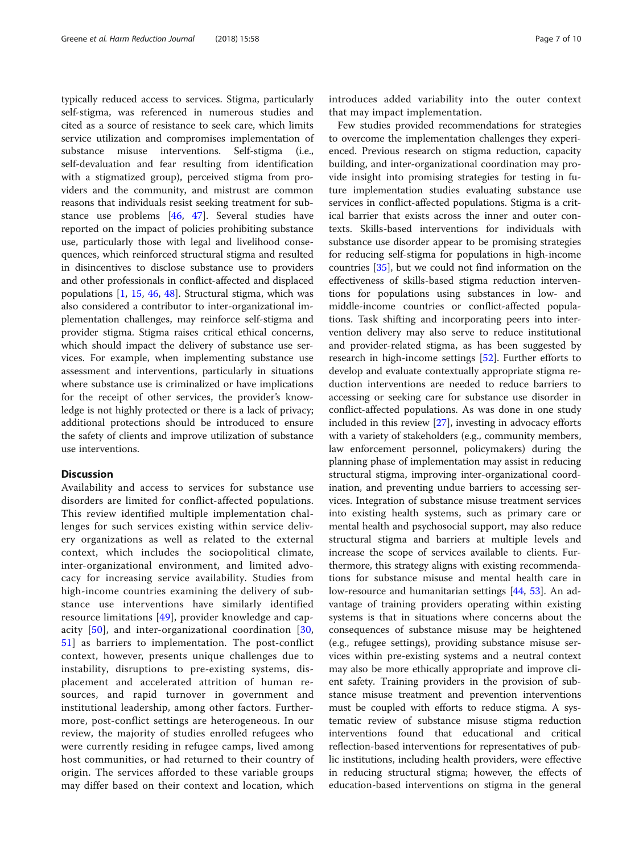typically reduced access to services. Stigma, particularly self-stigma, was referenced in numerous studies and cited as a source of resistance to seek care, which limits service utilization and compromises implementation of substance misuse interventions. Self-stigma (i.e., self-devaluation and fear resulting from identification with a stigmatized group), perceived stigma from providers and the community, and mistrust are common reasons that individuals resist seeking treatment for substance use problems [[46](#page-8-0), [47\]](#page-8-0). Several studies have reported on the impact of policies prohibiting substance use, particularly those with legal and livelihood consequences, which reinforced structural stigma and resulted in disincentives to disclose substance use to providers and other professionals in conflict-affected and displaced populations [\[1](#page-7-0), [15](#page-8-0), [46,](#page-8-0) [48](#page-9-0)]. Structural stigma, which was also considered a contributor to inter-organizational implementation challenges, may reinforce self-stigma and provider stigma. Stigma raises critical ethical concerns, which should impact the delivery of substance use services. For example, when implementing substance use assessment and interventions, particularly in situations where substance use is criminalized or have implications for the receipt of other services, the provider's knowledge is not highly protected or there is a lack of privacy; additional protections should be introduced to ensure the safety of clients and improve utilization of substance use interventions.

#### **Discussion**

Availability and access to services for substance use disorders are limited for conflict-affected populations. This review identified multiple implementation challenges for such services existing within service delivery organizations as well as related to the external context, which includes the sociopolitical climate, inter-organizational environment, and limited advocacy for increasing service availability. Studies from high-income countries examining the delivery of substance use interventions have similarly identified resource limitations [[49](#page-9-0)], provider knowledge and capacity [[50](#page-9-0)], and inter-organizational coordination [[30](#page-8-0), [51\]](#page-9-0) as barriers to implementation. The post-conflict context, however, presents unique challenges due to instability, disruptions to pre-existing systems, displacement and accelerated attrition of human resources, and rapid turnover in government and institutional leadership, among other factors. Furthermore, post-conflict settings are heterogeneous. In our review, the majority of studies enrolled refugees who were currently residing in refugee camps, lived among host communities, or had returned to their country of origin. The services afforded to these variable groups may differ based on their context and location, which introduces added variability into the outer context that may impact implementation.

Few studies provided recommendations for strategies to overcome the implementation challenges they experienced. Previous research on stigma reduction, capacity building, and inter-organizational coordination may provide insight into promising strategies for testing in future implementation studies evaluating substance use services in conflict-affected populations. Stigma is a critical barrier that exists across the inner and outer contexts. Skills-based interventions for individuals with substance use disorder appear to be promising strategies for reducing self-stigma for populations in high-income countries [[35\]](#page-8-0), but we could not find information on the effectiveness of skills-based stigma reduction interventions for populations using substances in low- and middle-income countries or conflict-affected populations. Task shifting and incorporating peers into intervention delivery may also serve to reduce institutional and provider-related stigma, as has been suggested by research in high-income settings [\[52](#page-9-0)]. Further efforts to develop and evaluate contextually appropriate stigma reduction interventions are needed to reduce barriers to accessing or seeking care for substance use disorder in conflict-affected populations. As was done in one study included in this review [\[27](#page-8-0)], investing in advocacy efforts with a variety of stakeholders (e.g., community members, law enforcement personnel, policymakers) during the planning phase of implementation may assist in reducing structural stigma, improving inter-organizational coordination, and preventing undue barriers to accessing services. Integration of substance misuse treatment services into existing health systems, such as primary care or mental health and psychosocial support, may also reduce structural stigma and barriers at multiple levels and increase the scope of services available to clients. Furthermore, this strategy aligns with existing recommendations for substance misuse and mental health care in low-resource and humanitarian settings [\[44](#page-8-0), [53\]](#page-9-0). An advantage of training providers operating within existing systems is that in situations where concerns about the consequences of substance misuse may be heightened (e.g., refugee settings), providing substance misuse services within pre-existing systems and a neutral context may also be more ethically appropriate and improve client safety. Training providers in the provision of substance misuse treatment and prevention interventions must be coupled with efforts to reduce stigma. A systematic review of substance misuse stigma reduction interventions found that educational and critical reflection-based interventions for representatives of public institutions, including health providers, were effective in reducing structural stigma; however, the effects of education-based interventions on stigma in the general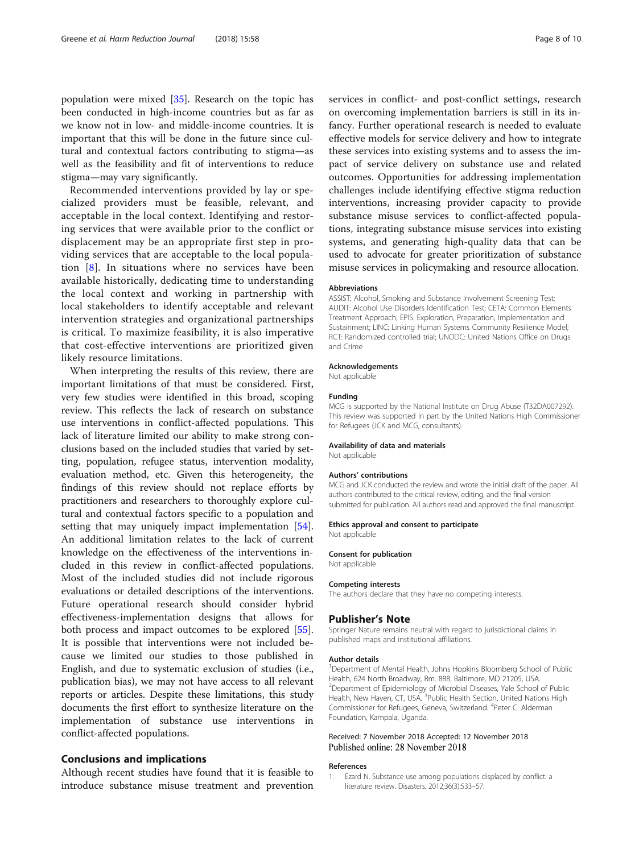<span id="page-7-0"></span>population were mixed [[35\]](#page-8-0). Research on the topic has been conducted in high-income countries but as far as we know not in low- and middle-income countries. It is important that this will be done in the future since cultural and contextual factors contributing to stigma—as well as the feasibility and fit of interventions to reduce stigma—may vary significantly.

Recommended interventions provided by lay or specialized providers must be feasible, relevant, and acceptable in the local context. Identifying and restoring services that were available prior to the conflict or displacement may be an appropriate first step in providing services that are acceptable to the local population [\[8\]](#page-8-0). In situations where no services have been available historically, dedicating time to understanding the local context and working in partnership with local stakeholders to identify acceptable and relevant intervention strategies and organizational partnerships is critical. To maximize feasibility, it is also imperative that cost-effective interventions are prioritized given likely resource limitations.

When interpreting the results of this review, there are important limitations of that must be considered. First, very few studies were identified in this broad, scoping review. This reflects the lack of research on substance use interventions in conflict-affected populations. This lack of literature limited our ability to make strong conclusions based on the included studies that varied by setting, population, refugee status, intervention modality, evaluation method, etc. Given this heterogeneity, the findings of this review should not replace efforts by practitioners and researchers to thoroughly explore cultural and contextual factors specific to a population and setting that may uniquely impact implementation [\[54](#page-9-0)]. An additional limitation relates to the lack of current knowledge on the effectiveness of the interventions included in this review in conflict-affected populations. Most of the included studies did not include rigorous evaluations or detailed descriptions of the interventions. Future operational research should consider hybrid effectiveness-implementation designs that allows for both process and impact outcomes to be explored [\[55](#page-9-0)]. It is possible that interventions were not included because we limited our studies to those published in English, and due to systematic exclusion of studies (i.e., publication bias), we may not have access to all relevant reports or articles. Despite these limitations, this study documents the first effort to synthesize literature on the implementation of substance use interventions in conflict-affected populations.

# Conclusions and implications

Although recent studies have found that it is feasible to introduce substance misuse treatment and prevention services in conflict- and post-conflict settings, research on overcoming implementation barriers is still in its infancy. Further operational research is needed to evaluate effective models for service delivery and how to integrate these services into existing systems and to assess the impact of service delivery on substance use and related outcomes. Opportunities for addressing implementation challenges include identifying effective stigma reduction interventions, increasing provider capacity to provide substance misuse services to conflict-affected populations, integrating substance misuse services into existing systems, and generating high-quality data that can be used to advocate for greater prioritization of substance misuse services in policymaking and resource allocation.

#### Abbreviations

ASSIST: Alcohol, Smoking and Substance Involvement Screening Test; AUDIT: Alcohol Use Disorders Identification Test; CETA: Common Elements Treatment Approach; EPIS: Exploration, Preparation, Implementation and Sustainment; LINC: Linking Human Systems Community Resilience Model; RCT: Randomized controlled trial; UNODC: United Nations Office on Drugs and Crime

#### Acknowledgements

Not applicable

#### Funding

MCG is supported by the National Institute on Drug Abuse (T32DA007292). This review was supported in part by the United Nations High Commissioner for Refugees (JCK and MCG, consultants).

### Availability of data and materials

Not applicable

#### Authors' contributions

MCG and JCK conducted the review and wrote the initial draft of the paper. All authors contributed to the critical review, editing, and the final version submitted for publication. All authors read and approved the final manuscript.

#### Ethics approval and consent to participate

Not applicable

#### Consent for publication

Not applicable

#### Competing interests

The authors declare that they have no competing interests.

#### Publisher's Note

Springer Nature remains neutral with regard to jurisdictional claims in published maps and institutional affiliations.

#### Author details

<sup>1</sup>Department of Mental Health, Johns Hopkins Bloomberg School of Public Health, 624 North Broadway, Rm. 888, Baltimore, MD 21205, USA. <sup>2</sup>Department of Epidemiology of Microbial Diseases, Yale School of Public Health, New Haven, CT, USA. <sup>3</sup>Public Health Section, United Nations High Commissioner for Refugees, Geneva, Switzerland. <sup>4</sup>Peter C. Alderman Foundation, Kampala, Uganda.

#### Received: 7 November 2018 Accepted: 12 November 2018 Published online: 28 November 2018

#### References

1. Ezard N. Substance use among populations displaced by conflict: a literature review. Disasters. 2012;36(3):533–57.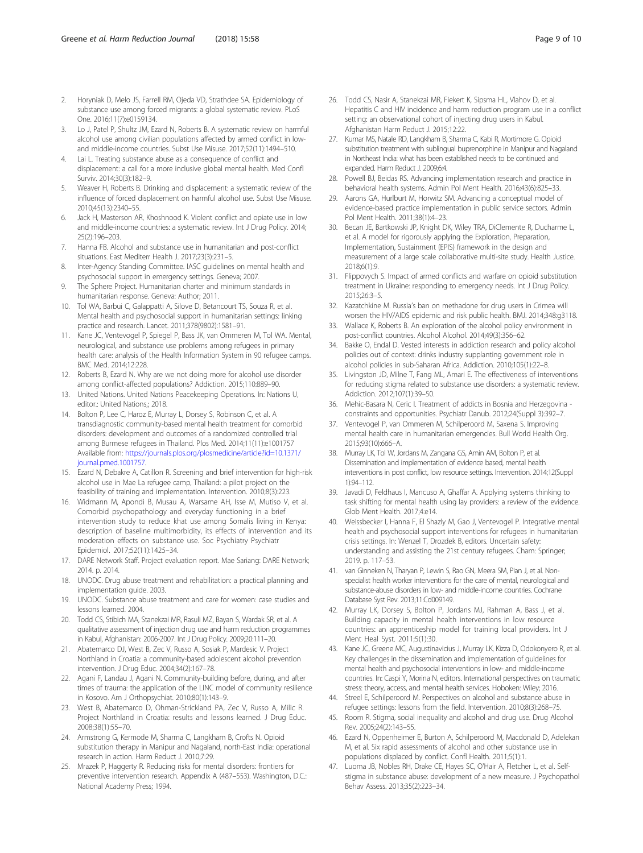- <span id="page-8-0"></span>2. Horyniak D, Melo JS, Farrell RM, Ojeda VD, Strathdee SA. Epidemiology of substance use among forced migrants: a global systematic review. PLoS One. 2016;11(7):e0159134.
- 3. Lo J, Patel P, Shultz JM, Ezard N, Roberts B. A systematic review on harmful alcohol use among civilian populations affected by armed conflict in lowand middle-income countries. Subst Use Misuse. 2017;52(11):1494–510.
- Lai L. Treating substance abuse as a consequence of conflict and displacement: a call for a more inclusive global mental health. Med Confl Surviv. 2014;30(3):182–9.
- 5. Weaver H, Roberts B. Drinking and displacement: a systematic review of the influence of forced displacement on harmful alcohol use. Subst Use Misuse. 2010;45(13):2340–55.
- 6. Jack H, Masterson AR, Khoshnood K. Violent conflict and opiate use in low and middle-income countries: a systematic review. Int J Drug Policy. 2014; 25(2):196–203.
- 7. Hanna FB. Alcohol and substance use in humanitarian and post-conflict situations. East Mediterr Health J. 2017;23(3):231–5.
- 8. Inter-Agency Standing Committee. IASC guidelines on mental health and psychosocial support in emergency settings. Geneva; 2007.
- 9. The Sphere Project. Humanitarian charter and minimum standards in humanitarian response. Geneva: Author; 2011.
- 10. Tol WA, Barbui C, Galappatti A, Silove D, Betancourt TS, Souza R, et al. Mental health and psychosocial support in humanitarian settings: linking practice and research. Lancet. 2011;378(9802):1581–91.
- 11. Kane JC, Ventevogel P, Spiegel P, Bass JK, van Ommeren M, Tol WA. Mental, neurological, and substance use problems among refugees in primary health care: analysis of the Health Information System in 90 refugee camps. BMC Med. 2014;12:228.
- 12. Roberts B, Ezard N. Why are we not doing more for alcohol use disorder among conflict-affected populations? Addiction. 2015;110:889–90.
- 13. United Nations. United Nations Peacekeeping Operations. In: Nations U, editor.: United Nations,; 2018.
- 14. Bolton P, Lee C, Haroz E, Murray L, Dorsey S, Robinson C, et al. A transdiagnostic community-based mental health treatment for comorbid disorders: development and outcomes of a randomized controlled trial among Burmese refugees in Thailand. Plos Med. 2014;11(11):e1001757 Available from: [https://journals.plos.org/plosmedicine/article?id=10.1371/](https://journals.plos.org/plosmedicine/article?id=10.1371/journal.pmed.1001757) [journal.pmed.1001757](https://journals.plos.org/plosmedicine/article?id=10.1371/journal.pmed.1001757).
- 15. Ezard N, Debakre A, Catillon R. Screening and brief intervention for high-risk alcohol use in Mae La refugee camp, Thailand: a pilot project on the feasibility of training and implementation. Intervention. 2010;8(3):223.
- 16. Widmann M, Apondi B, Musau A, Warsame AH, Isse M, Mutiso V, et al. Comorbid psychopathology and everyday functioning in a brief intervention study to reduce khat use among Somalis living in Kenya: description of baseline multimorbidity, its effects of intervention and its moderation effects on substance use. Soc Psychiatry Psychiatr Epidemiol. 2017;52(11):1425–34.
- 17. DARE Network Staff. Project evaluation report. Mae Sariang: DARE Network; 2014. p. 2014.
- 18. UNODC. Drug abuse treatment and rehabilitation: a practical planning and implementation guide. 2003.
- 19. UNODC. Substance abuse treatment and care for women: case studies and lessons learned. 2004.
- 20. Todd CS, Stibich MA, Stanekzai MR, Rasuli MZ, Bayan S, Wardak SR, et al. A qualitative assessment of injection drug use and harm reduction programmes in Kabul, Afghanistan: 2006-2007. Int J Drug Policy. 2009;20:111–20.
- 21. Abatemarco DJ, West B, Zec V, Russo A, Sosiak P, Mardesic V. Project Northland in Croatia: a community-based adolescent alcohol prevention intervention. J Drug Educ. 2004;34(2):167–78.
- 22. Agani F, Landau J, Agani N. Community-building before, during, and after times of trauma: the application of the LINC model of community resilience in Kosovo. Am J Orthopsychiat. 2010;80(1):143–9.
- 23. West B, Abatemarco D, Ohman-Strickland PA, Zec V, Russo A, Milic R. Project Northland in Croatia: results and lessons learned. J Drug Educ. 2008;38(1):55–70.
- 24. Armstrong G, Kermode M, Sharma C, Langkham B, Crofts N. Opioid substitution therapy in Manipur and Nagaland, north-East India: operational research in action. Harm Reduct J. 2010;7:29.
- 25. Mrazek P, Haggerty R. Reducing risks for mental disorders: frontiers for preventive intervention research. Appendix A (487–553). Washington, D.C.: National Academy Press; 1994.
- 26. Todd CS, Nasir A, Stanekzai MR, Fiekert K, Sipsma HL, Vlahov D, et al. Hepatitis C and HIV incidence and harm reduction program use in a conflict setting: an observational cohort of injecting drug users in Kabul. Afghanistan Harm Reduct J. 2015;12:22.
- 27. Kumar MS, Natale RD, Langkham B, Sharma C, Kabi R, Mortimore G. Opioid substitution treatment with sublingual buprenorphine in Manipur and Nagaland in Northeast India: what has been established needs to be continued and expanded. Harm Reduct J. 2009;6:4.
- 28. Powell BJ, Beidas RS. Advancing implementation research and practice in behavioral health systems. Admin Pol Ment Health. 2016;43(6):825–33.
- 29. Aarons GA, Hurlburt M, Horwitz SM. Advancing a conceptual model of evidence-based practice implementation in public service sectors. Admin Pol Ment Health. 2011;38(1):4–23.
- 30. Becan JE, Bartkowski JP, Knight DK, Wiley TRA, DiClemente R, Ducharme L, et al. A model for rigorously applying the Exploration, Preparation, Implementation, Sustainment (EPIS) framework in the design and measurement of a large scale collaborative multi-site study. Health Justice. 2018;6(1):9.
- 31. Flippovych S. Impact of armed conflicts and warfare on opioid substitution treatment in Ukraine: responding to emergency needs. Int J Drug Policy. 2015;26:3–5.
- 32. Kazatchkine M. Russia's ban on methadone for drug users in Crimea will worsen the HIV/AIDS epidemic and risk public health. BMJ. 2014;348:g3118.
- 33. Wallace K, Roberts B. An exploration of the alcohol policy environment in post-conflict countries. Alcohol Alcohol. 2014;49(3):356–62.
- 34. Bakke O, Endal D. Vested interests in addiction research and policy alcohol policies out of context: drinks industry supplanting government role in alcohol policies in sub-Saharan Africa. Addiction. 2010;105(1):22–8.
- 35. Livingston JD, Milne T, Fang ML, Amari E. The effectiveness of interventions for reducing stigma related to substance use disorders: a systematic review. Addiction. 2012;107(1):39–50.
- 36. Mehic-Basara N, Ceric I. Treatment of addicts in Bosnia and Herzegovina constraints and opportunities. Psychiatr Danub. 2012;24(Suppl 3):392–7.
- 37. Ventevogel P, van Ommeren M, Schilperoord M, Saxena S. Improving mental health care in humanitarian emergencies. Bull World Health Org. 2015;93(10):666–A.
- 38. Murray LK, Tol W, Jordans M, Zangana GS, Amin AM, Bolton P, et al. Dissemination and implementation of evidence based, mental health interventions in post conflict, low resource settings. Intervention. 2014;12(Suppl 1):94–112.
- 39. Javadi D, Feldhaus I, Mancuso A, Ghaffar A. Applying systems thinking to task shifting for mental health using lay providers: a review of the evidence. Glob Ment Health. 2017;4:e14.
- 40. Weissbecker I, Hanna F, El Shazly M, Gao J, Ventevogel P. Integrative mental health and psychosocial support interventions for refugees in humanitarian crisis settings. In: Wenzel T, Drozdek B, editors. Uncertain safety: understanding and assisting the 21st century refugees. Cham: Springer; 2019. p. 117–53.
- 41. van Ginneken N, Tharyan P, Lewin S, Rao GN, Meera SM, Pian J, et al. Nonspecialist health worker interventions for the care of mental, neurological and substance-abuse disorders in low- and middle-income countries. Cochrane Database Syst Rev. 2013;11:Cd009149.
- 42. Murray LK, Dorsey S, Bolton P, Jordans MJ, Rahman A, Bass J, et al. Building capacity in mental health interventions in low resource countries: an apprenticeship model for training local providers. Int J Ment Heal Syst. 2011;5(1):30.
- 43. Kane JC, Greene MC, Augustinavicius J, Murray LK, Kizza D, Odokonyero R, et al. Key challenges in the dissemination and implementation of guidelines for mental health and psychosocial interventions in low- and middle-income countries. In: Caspi Y, Morina N, editors. International perspectives on traumatic stress: theory, access, and mental health services. Hoboken: Wiley; 2016.
- 44. Streel E, Schilperoord M. Perspectives on alcohol and substance abuse in refugee settings: lessons from the field. Intervention. 2010;8(3):268–75.
- 45. Room R. Stigma, social inequality and alcohol and drug use. Drug Alcohol Rev. 2005;24(2):143–55.
- 46. Ezard N, Oppenheimer E, Burton A, Schilperoord M, Macdonald D, Adelekan M, et al. Six rapid assessments of alcohol and other substance use in populations displaced by conflict. Confl Health. 2011;5(1):1.
- 47. Luoma JB, Nobles RH, Drake CE, Hayes SC, O'Hair A, Fletcher L, et al. Selfstigma in substance abuse: development of a new measure. J Psychopathol Behav Assess. 2013;35(2):223–34.